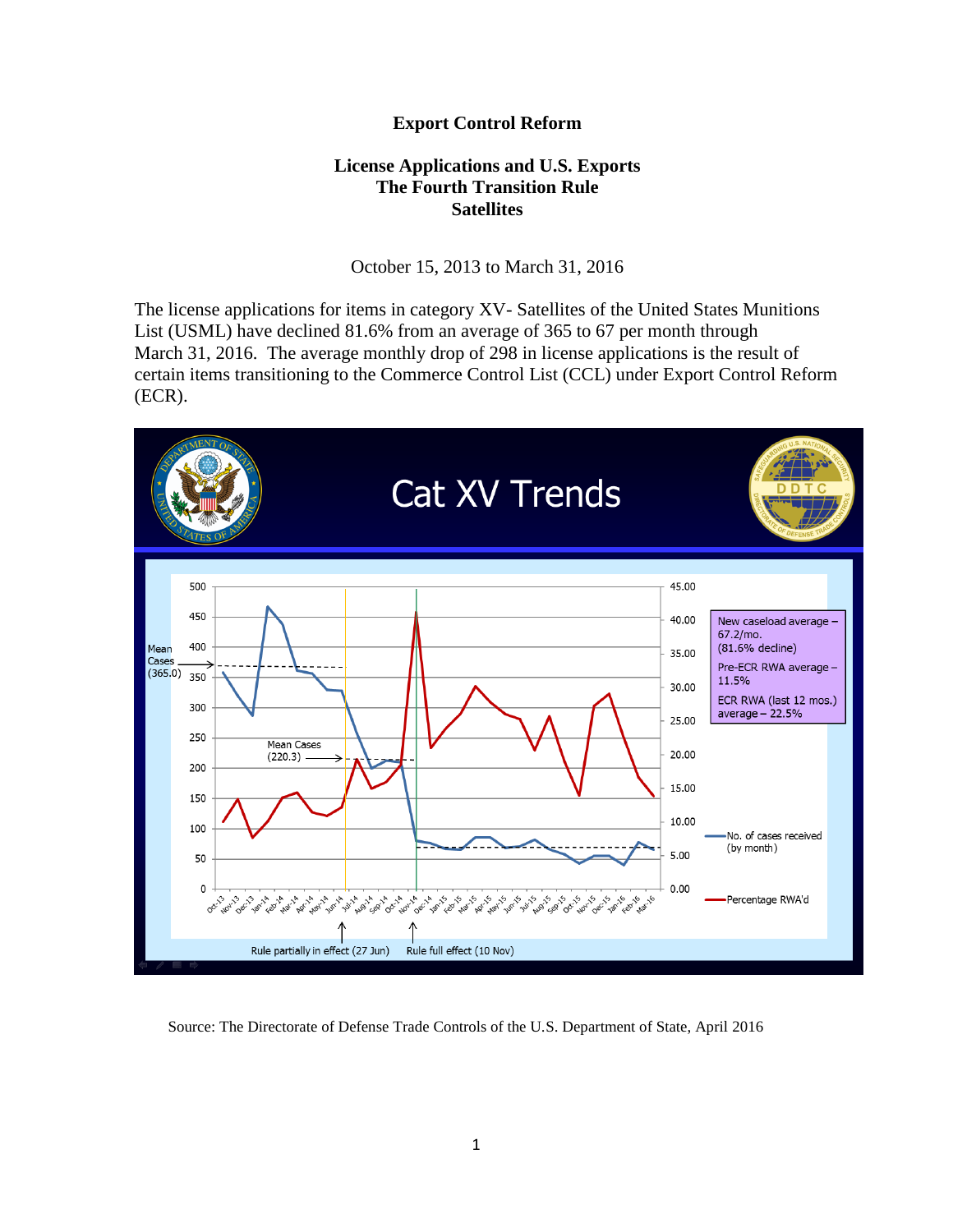## **Export Control Reform**

## **License Applications and U.S. Exports The Fourth Transition Rule Satellites**

October 15, 2013 to March 31, 2016

The license applications for items in category XV- Satellites of the United States Munitions List (USML) have declined 81.6% from an average of 365 to 67 per month through March 31, 2016. The average monthly drop of 298 in license applications is the result of certain items transitioning to the Commerce Control List (CCL) under Export Control Reform (ECR).



Source: The Directorate of Defense Trade Controls of the U.S. Department of State, April 2016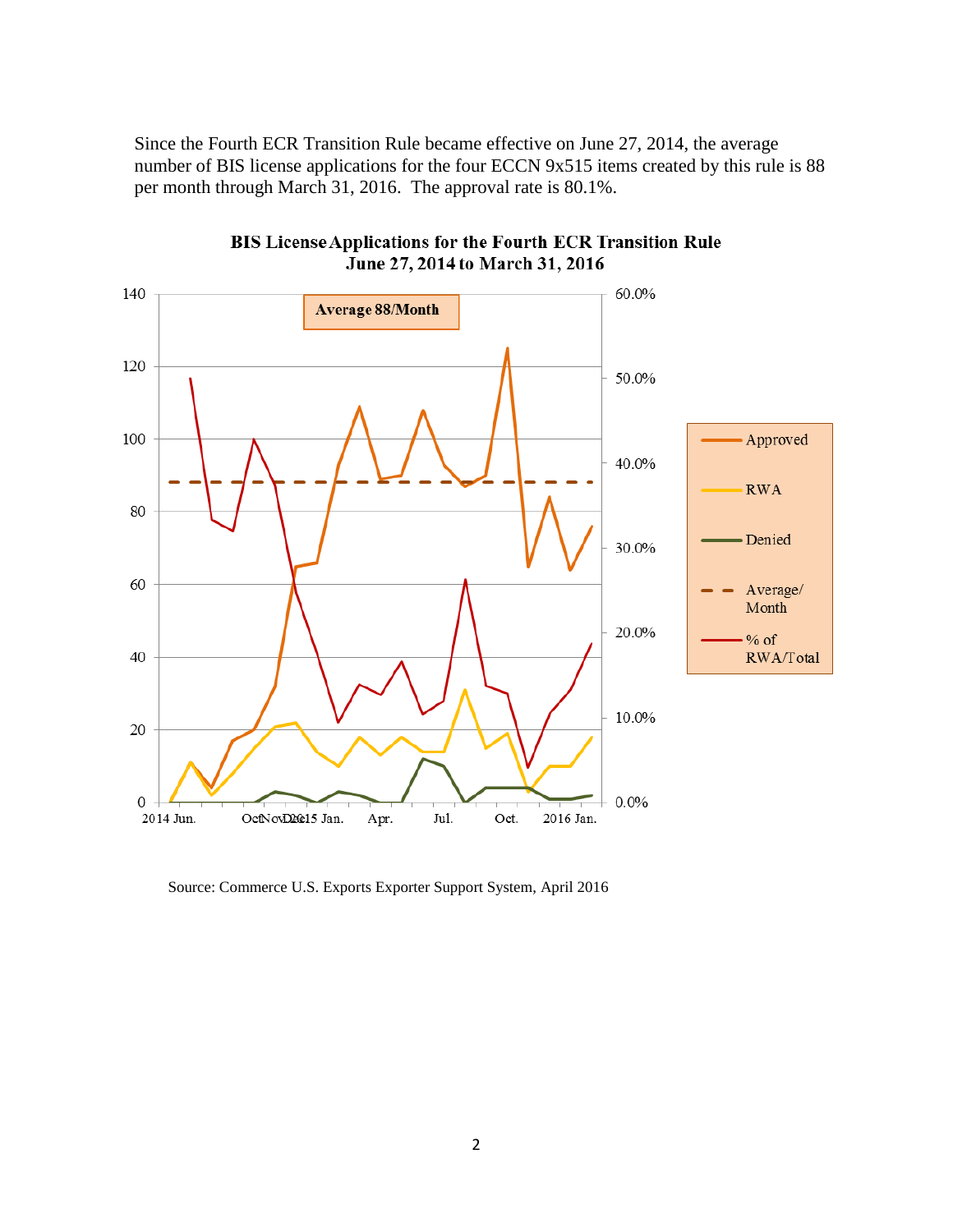Since the Fourth ECR Transition Rule became effective on June 27, 2014, the average number of BIS license applications for the four ECCN 9x515 items created by this rule is 88 per month through March 31, 2016. The approval rate is 80.1%.



BIS License Applications for the Fourth ECR Transition Rule June 27, 2014 to March 31, 2016

Source: Commerce U.S. Exports Exporter Support System, April 2016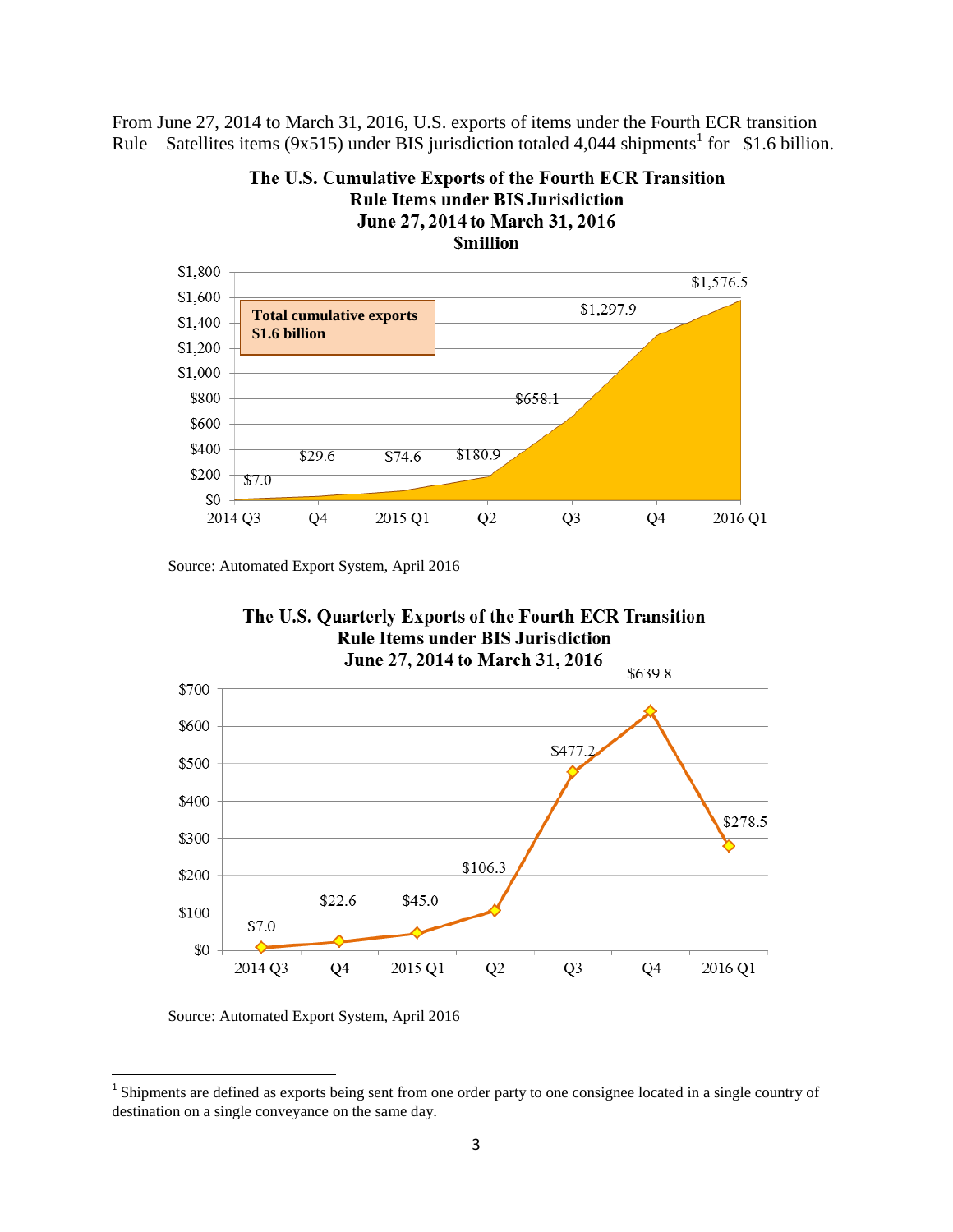From June 27, 2014 to March 31, 2016, U.S. exports of items under the Fourth ECR transition Rule – Satellites items (9x515) under BIS jurisdiction totaled 4,044 shipments<sup>1</sup> for \$1.6 billion.



The U.S. Cumulative Exports of the Fourth ECR Transition **Rule Items under BIS Jurisdiction** June 27, 2014 to March 31, 2016

Source: Automated Export System, April 2016



Source: Automated Export System, April 2016

<sup>&</sup>lt;sup>1</sup> Shipments are defined as exports being sent from one order party to one consignee located in a single country of destination on a single conveyance on the same day.